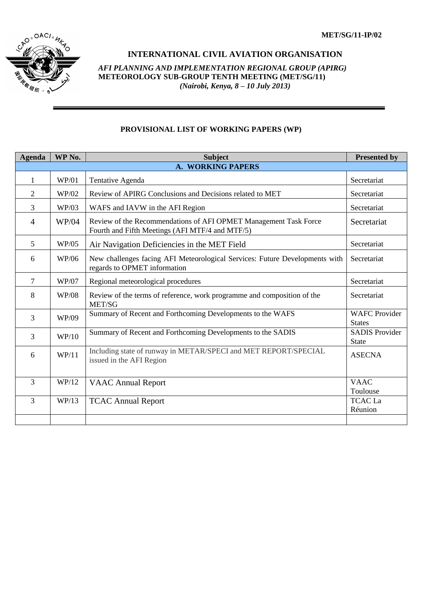

## **INTERNATIONAL CIVIL AVIATION ORGANISATION**

*AFI PLANNING AND IMPLEMENTATION REGIONAL GROUP (APIRG)* **METEOROLOGY SUB-GROUP TENTH MEETING (MET/SG/11)**  *(Nairobi, Kenya, 8 – 10 July 2013)*

## **PROVISIONAL LIST OF WORKING PAPERS (WP)**

| <b>Agenda</b>            | WP No.       | <b>Subject</b>                                                                                                      | <b>Presented by</b>                   |  |  |
|--------------------------|--------------|---------------------------------------------------------------------------------------------------------------------|---------------------------------------|--|--|
| <b>A. WORKING PAPERS</b> |              |                                                                                                                     |                                       |  |  |
| 1                        | WP/01        | Tentative Agenda                                                                                                    | Secretariat                           |  |  |
| $\overline{2}$           | WP/02        | Review of APIRG Conclusions and Decisions related to MET                                                            | Secretariat                           |  |  |
| $\overline{3}$           | WP/03        | WAFS and IAVW in the AFI Region                                                                                     | Secretariat                           |  |  |
| $\overline{4}$           | WP/04        | Review of the Recommendations of AFI OPMET Management Task Force<br>Fourth and Fifth Meetings (AFI MTF/4 and MTF/5) | Secretariat                           |  |  |
| $\overline{5}$           | WP/05        | Air Navigation Deficiencies in the MET Field                                                                        | Secretariat                           |  |  |
| 6                        | WP/06        | New challenges facing AFI Meteorological Services: Future Developments with<br>regards to OPMET information         | Secretariat                           |  |  |
| $\tau$                   | <b>WP/07</b> | Regional meteorological procedures                                                                                  | Secretariat                           |  |  |
| 8                        | <b>WP/08</b> | Review of the terms of reference, work programme and composition of the<br>MET/SG                                   | Secretariat                           |  |  |
| $\overline{3}$           | WP/09        | Summary of Recent and Forthcoming Developments to the WAFS                                                          | <b>WAFC Provider</b><br><b>States</b> |  |  |
| $\overline{3}$           | WP/10        | Summary of Recent and Forthcoming Developments to the SADIS                                                         | <b>SADIS Provider</b><br><b>State</b> |  |  |
| 6                        | WP/11        | Including state of runway in METAR/SPECI and MET REPORT/SPECIAL<br>issued in the AFI Region                         | <b>ASECNA</b>                         |  |  |
| $\overline{3}$           | WP/12        | <b>VAAC Annual Report</b>                                                                                           | <b>VAAC</b><br>Toulouse               |  |  |
| $\overline{3}$           | WP/13        | <b>TCAC Annual Report</b>                                                                                           | <b>TCACLa</b><br>Réunion              |  |  |
|                          |              |                                                                                                                     |                                       |  |  |